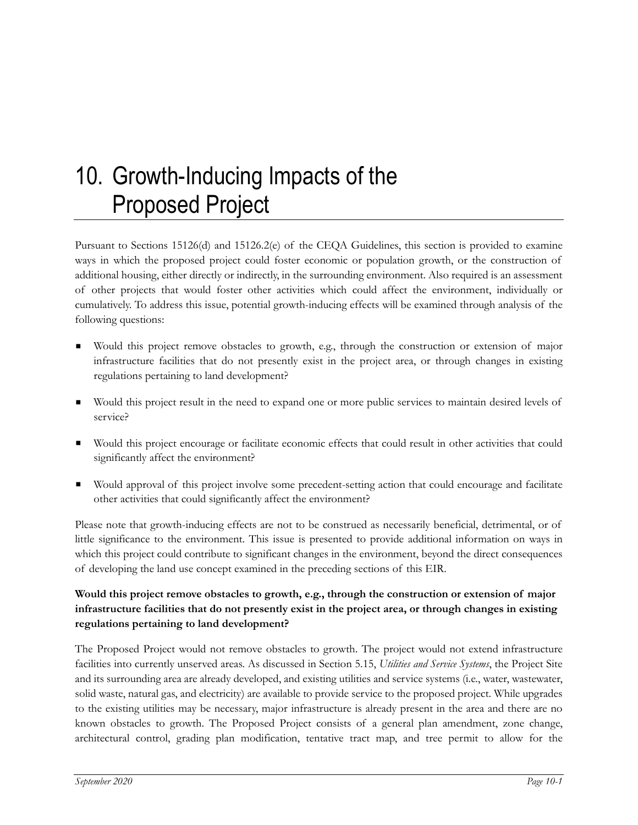# 10. Growth-Inducing Impacts of the Proposed Project

Pursuant to Sections 15126(d) and 15126.2(e) of the CEQA Guidelines, this section is provided to examine ways in which the proposed project could foster economic or population growth, or the construction of additional housing, either directly or indirectly, in the surrounding environment. Also required is an assessment of other projects that would foster other activities which could affect the environment, individually or cumulatively. To address this issue, potential growth-inducing effects will be examined through analysis of the following questions:

- Would this project remove obstacles to growth, e.g., through the construction or extension of major infrastructure facilities that do not presently exist in the project area, or through changes in existing regulations pertaining to land development?
- Would this project result in the need to expand one or more public services to maintain desired levels of service?
- Would this project encourage or facilitate economic effects that could result in other activities that could significantly affect the environment?
- Would approval of this project involve some precedent-setting action that could encourage and facilitate other activities that could significantly affect the environment?

Please note that growth-inducing effects are not to be construed as necessarily beneficial, detrimental, or of little significance to the environment. This issue is presented to provide additional information on ways in which this project could contribute to significant changes in the environment, beyond the direct consequences of developing the land use concept examined in the preceding sections of this EIR.

#### **Would this project remove obstacles to growth, e.g., through the construction or extension of major infrastructure facilities that do not presently exist in the project area, or through changes in existing regulations pertaining to land development?**

The Proposed Project would not remove obstacles to growth. The project would not extend infrastructure facilities into currently unserved areas. As discussed in Section 5.15, *Utilities and Service Systems*, the Project Site and its surrounding area are already developed, and existing utilities and service systems (i.e., water, wastewater, solid waste, natural gas, and electricity) are available to provide service to the proposed project. While upgrades to the existing utilities may be necessary, major infrastructure is already present in the area and there are no known obstacles to growth. The Proposed Project consists of a general plan amendment, zone change, architectural control, grading plan modification, tentative tract map, and tree permit to allow for the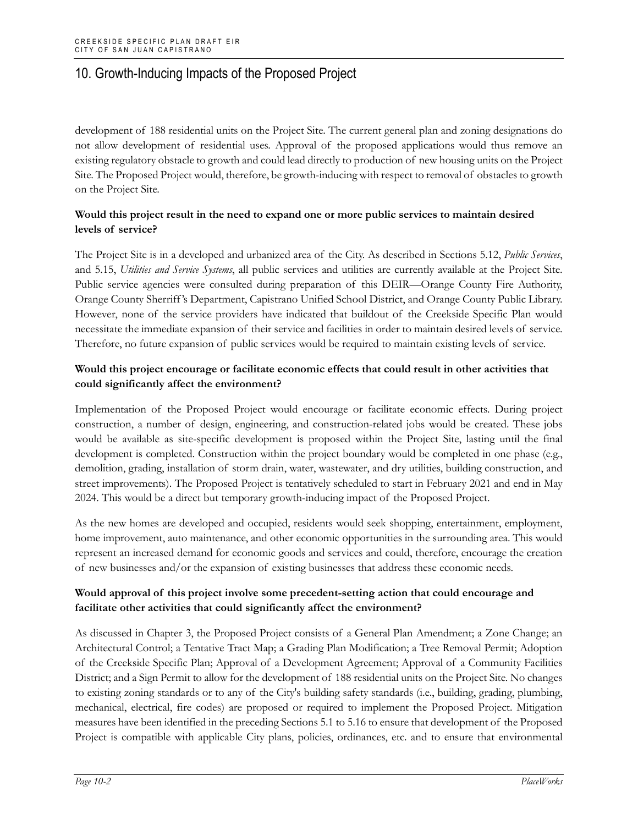## 10. Growth-Inducing Impacts of the Proposed Project

development of 188 residential units on the Project Site. The current general plan and zoning designations do not allow development of residential uses. Approval of the proposed applications would thus remove an existing regulatory obstacle to growth and could lead directly to production of new housing units on the Project Site. The Proposed Project would, therefore, be growth-inducing with respect to removal of obstacles to growth on the Project Site.

#### **Would this project result in the need to expand one or more public services to maintain desired levels of service?**

The Project Site is in a developed and urbanized area of the City. As described in Sections 5.12, *Public Services*, and 5.15, *Utilities and Service Systems*, all public services and utilities are currently available at the Project Site. Public service agencies were consulted during preparation of this DEIR—Orange County Fire Authority, Orange County Sherriff 's Department, Capistrano Unified School District, and Orange County Public Library. However, none of the service providers have indicated that buildout of the Creekside Specific Plan would necessitate the immediate expansion of their service and facilities in order to maintain desired levels of service. Therefore, no future expansion of public services would be required to maintain existing levels of service.

#### **Would this project encourage or facilitate economic effects that could result in other activities that could significantly affect the environment?**

Implementation of the Proposed Project would encourage or facilitate economic effects. During project construction, a number of design, engineering, and construction-related jobs would be created. These jobs would be available as site-specific development is proposed within the Project Site, lasting until the final development is completed. Construction within the project boundary would be completed in one phase (e.g., demolition, grading, installation of storm drain, water, wastewater, and dry utilities, building construction, and street improvements). The Proposed Project is tentatively scheduled to start in February 2021 and end in May 2024. This would be a direct but temporary growth-inducing impact of the Proposed Project.

As the new homes are developed and occupied, residents would seek shopping, entertainment, employment, home improvement, auto maintenance, and other economic opportunities in the surrounding area. This would represent an increased demand for economic goods and services and could, therefore, encourage the creation of new businesses and/or the expansion of existing businesses that address these economic needs.

#### **Would approval of this project involve some precedent-setting action that could encourage and facilitate other activities that could significantly affect the environment?**

As discussed in Chapter 3, the Proposed Project consists of a General Plan Amendment; a Zone Change; an Architectural Control; a Tentative Tract Map; a Grading Plan Modification; a Tree Removal Permit; Adoption of the Creekside Specific Plan; Approval of a Development Agreement; Approval of a Community Facilities District; and a Sign Permit to allow for the development of 188 residential units on the Project Site. No changes to existing zoning standards or to any of the City's building safety standards (i.e., building, grading, plumbing, mechanical, electrical, fire codes) are proposed or required to implement the Proposed Project. Mitigation measures have been identified in the preceding Sections 5.1 to 5.16 to ensure that development of the Proposed Project is compatible with applicable City plans, policies, ordinances, etc. and to ensure that environmental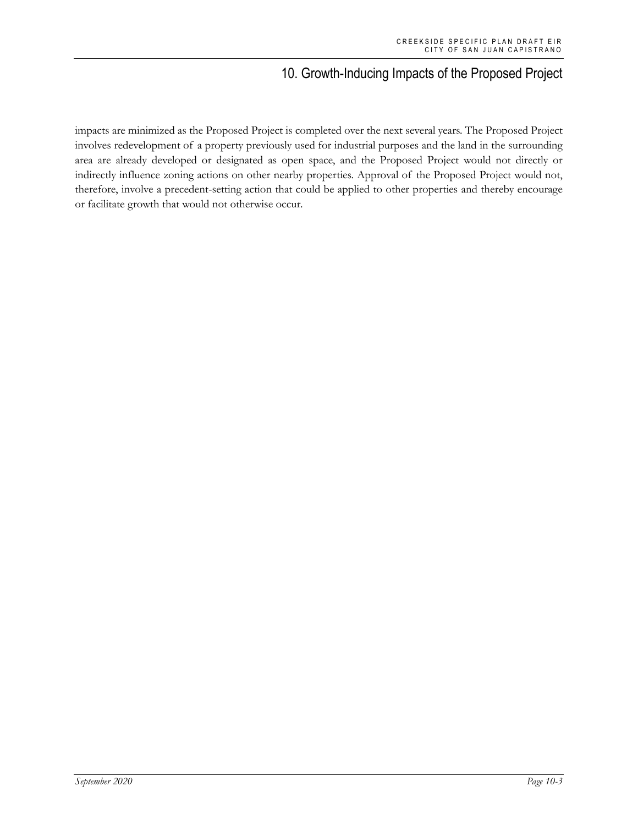### 10. Growth-Inducing Impacts of the Proposed Project

impacts are minimized as the Proposed Project is completed over the next several years. The Proposed Project involves redevelopment of a property previously used for industrial purposes and the land in the surrounding area are already developed or designated as open space, and the Proposed Project would not directly or indirectly influence zoning actions on other nearby properties. Approval of the Proposed Project would not, therefore, involve a precedent-setting action that could be applied to other properties and thereby encourage or facilitate growth that would not otherwise occur.